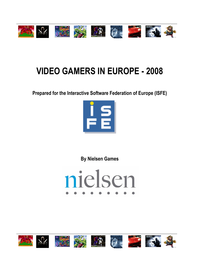

# **VIDEO GAMERS IN EUROPE - 2008**

**Prepared for the Interactive Software Federation of Europe (ISFE)** 



**By Nielsen Games** 



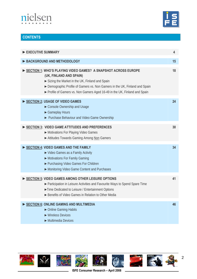![](_page_1_Picture_0.jpeg)

![](_page_1_Picture_1.jpeg)

# **CONTENTS**

| EXECUTIVE SUMMARY                                                                                                                                                                                                                                                                                      | 4  |
|--------------------------------------------------------------------------------------------------------------------------------------------------------------------------------------------------------------------------------------------------------------------------------------------------------|----|
| BACKGROUND AND METHODOLOGY                                                                                                                                                                                                                                                                             | 15 |
| SECTION 1: WHO'S PLAYING VIDEO GAMES? A SNAPSHOT ACROSS EUROPE<br>(UK, FINLAND AND SPAIN)<br>Sizing the Market in the UK, Finland and Spain<br>Demographic Profile of Gamers vs. Non Gamers in the UK, Finland and Spain<br>▶ Profile of Gamers vs. Non Gamers Aged 16-49 in the UK, Finland and Spain | 18 |
| SECTION 2: USAGE OF VIDEO GAMES<br>Console Ownership and Usage<br>Gameplay Hours<br>Purchase Behaviour and Video Game Ownership                                                                                                                                                                        | 24 |
| SECTION 3: VIDEO GAME ATTITUDES AND PREFERENCES<br>Motivations For Playing Video Games<br>Attitudes Towards Gaming Among Non Gamers                                                                                                                                                                    | 30 |
| SECTION 4: VIDEO GAMES AND THE FAMILY<br>► Video Games as a Family Activity<br>Motivations For Family Gaming<br>▶ Purchasing Video Games For Children<br>Monitoring Video Game Content and Purchases                                                                                                   | 34 |
| SECTION 5: VIDEO GAMES AMONG OTHER LEISURE OPTIONS<br>▶ Participation in Leisure Activities and Favourite Ways to Spend Spare Time<br>Time Dedicated to Leisure / Entertainment Options<br>► Benefits of Video Games in Relation to Other Media                                                        | 41 |
| SECTION 6: ONLINE GAMING AND MULTIMEDIA<br>• Online Gaming Habits<br>$\blacktriangleright$ Wireless Devices<br>$\blacktriangleright$ Multimedia Devices                                                                                                                                                | 46 |

![](_page_1_Picture_4.jpeg)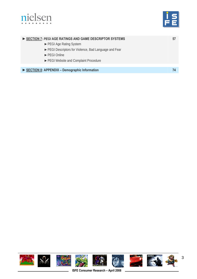![](_page_2_Picture_0.jpeg)

![](_page_2_Picture_1.jpeg)

| SECTION 7: PEGIAGE RATINGS AND GAME DESCRIPTOR SYSTEMS |  |
|--------------------------------------------------------|--|
| ► PEGI Age Rating System                               |  |
| ▶ PEGI Descriptors for Violence, Bad Language and Fear |  |
| $\blacktriangleright$ PFGI Online                      |  |
| ► PEGI Website and Complaint Procedure                 |  |
|                                                        |  |
| SECTION 8: APPENDIX - Demographic Information          |  |
|                                                        |  |

![](_page_2_Picture_3.jpeg)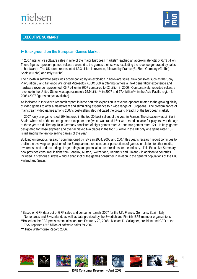![](_page_3_Picture_0.jpeg)

![](_page_3_Picture_1.jpeg)

## **EXECUTIVE SUMMARY**

# **►Background on the European Games Market**

In 2007 interactive software sales in nine of the major European markets\* reached an approximate total of €7.3 billion. These figures represent games software alone (i.e. the games themselves, excluding the revenue generated by sales of hardware). The UK alone represented €2.3 billion in revenue, followed by France (€1.6bn), Germany (€1.4bn), Spain (€0.7bn) and Italy €0.6bn).

The growth in software sales was accompanied by an explosion in hardware sales. New consoles such as the Sony PlayStation 3 and Nintendo Wii joined Microsoft's XBOX 360 in offering gamers a 'next generation' experience and hardware revenue represented €5.7 billion in 2007 compared to €3 billion in 2006. Comparatively, reported software revenue in the United States was approximately €6.9 billion\*\* in 2007 and €7.4 billion\*\*\* in the Asia-Pacific region for 2006 (2007 figures not yet available).

As indicated in this year's research report, in large part this expansion in revenue appears related to the growing ability of video games to offer a mainstream and stimulating experience to a wide range of Europeans. The predominance of mainstream video games among 2007's best-sellers also indicated the growing breadth of the European market.

In 2007, only one game rated 16+ featured in the top 20 best-sellers of the year in France. The situation was similar in Spain, where all of the top ten games except for one (which was rated 16+) were rated suitable for players over the age of three years old. The top 10 in Germany consisted of eight games rated 3+ and two games rated 12+. In Italy, games designated for those eighteen and over achieved two places in the top 10, while in the UK only one game rated 18+ listed among the ten top selling games of the year.

Building on previous research commissioned by ISFE in 2004, 2005 and 2007, this year's research report continues to profile the evolving composition of the European market, consumer perceptions of games in relation to other media, awareness and understanding of age ratings and potential future directions for the industry. This Executive Summary now provides consumer insight from Benelux, Austria, Switzerland, Denmark and Finland - in addition to countries included in previous surveys – and a snapshot of the games consumer in relation to the general populations of the UK, Finland and Spain.

\* Based on GFK data out of GFK sales and consumer panels 2007 for the UK, France, Germany, Spain, Italy, Netherlands and Switzerland, as well as data provided by the Swedish and Finnish ISFE member organizations.

\*\*Based on the ESA press communication from February 20, 2008. Michael D. Gallagher, president and CEO of the ESA, reported \$9.5 billion of software sales for 2007.

![](_page_3_Picture_12.jpeg)

<sup>\*\*\*</sup> Price Waterhouse Report, 2006.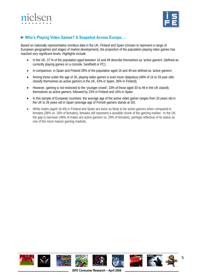![](_page_4_Picture_0.jpeg)

![](_page_4_Picture_1.jpeg)

# **►Who's Playing Video Games? A Snapshot Across Europe….**

Based on nationally representative omnibus data in the UK, Finland and Spain (chosen to represent a range of European geographies and stages of market development), the proportion of the population playing video games has reached very significant levels. Highlights include:

- In the UK, 37 % of the population aged between 16 and 49 describe themselves as 'active gamers' (defined as currently playing games on a console, handheld or PC).
- In comparison, in Spain and Finland 28% of the population aged 16 and 49 are defined as 'active gamers'.
- Among those under the age of 30, playing video games is even more ubiquitous (48% of 16 to 29 year olds classify themselves as active gamers in the UK, 43% in Spain, 36% in Finland).
- However, gaming is not restricted to the 'younger crowd'; 33% of those aged 30 to 49 in the UK classify themselves as active gamers, followed by 23% in Finland and 16% in Spain.
- In this sample of European countries, the average age of the active video gamer ranges from 33 years old in the UK to 26 years old in Spain (average age of Finnish gamers stands at 30).
- While males (aged 16-49) in Finland and Spain are twice as likely to be active gamers when compared to females (38% vs. 18% of females), females still represent a sizeable chunk of the gaming market. In the UK, the gap is narrower (48% of males are active gamers vs. 29% of females), perhaps reflective of its status as one of the more mature gaming markets.

![](_page_4_Picture_10.jpeg)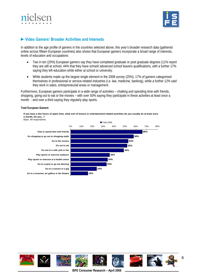![](_page_5_Picture_0.jpeg)

![](_page_5_Picture_1.jpeg)

## **►Video Gamers' Broader Activities and Interests**

In addition to the age profile of gamers in the countries selected above, this year's broader research data (gathered online across fifteen European countries) also shows that European gamers incorporate a broad range of interests, levels of education and occupations:

- Two in ten (20%) European gamers say they have completed graduate or post graduate degrees (11% report they are still at school, 44% that they have school/ advanced school leavers qualifications, with a further 17% saying they left education while either at school or university.
- While students made up the largest single element in the 2008 survey (25%), 17% of gamers categorised themselves in professional or service-related industries (i.e. law, medicine, banking), while a further 12% said they work in sales, entrepreneurial areas or management.

Furthermore, European gamers participate in a wide range of activities – chatting and spending time with friends, shopping, going out to eat or the movies – with over 50% saying they participate in these activities at least once a month - and over a third saying they regularly play sports.

#### **Total European Gamers:**

**If you have a few hours of spare time, what sort of leisure or entertainment-related activities do you usually do at least once a month, Do you...?**

![](_page_5_Figure_9.jpeg)

![](_page_5_Picture_10.jpeg)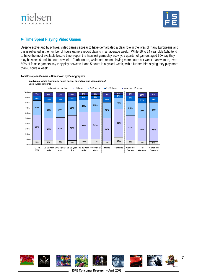![](_page_6_Picture_0.jpeg)

![](_page_6_Picture_1.jpeg)

# **►Time Spent Playing Video Games**

Despite active and busy lives, video games appear to have demarcated a clear role in the lives of many Europeans and this is reflected in the number of hours gamers report playing in an average week. While 16 to 24 year olds (who tend to have the most available leisure time) report the heaviest gameplay activity, a quarter of gamers aged 30+ say they play between 6 and 10 hours a week. Furthermore, while men report playing more hours per week than women, over 50% of female gamers say they play between 1 and 5 hours in a typical week, with a further third saying they play more than 6 hours a week.

![](_page_6_Figure_4.jpeg)

#### **Total European Gamers – Breakdown by Demographics:**

![](_page_6_Picture_6.jpeg)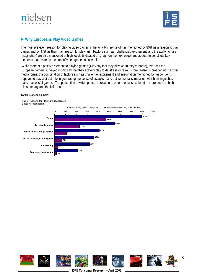![](_page_7_Picture_0.jpeg)

![](_page_7_Picture_1.jpeg)

# **►Why Europeans Play Video Games**

The most prevalent reason for playing video games is the activity's sense of fun (mentioned by 80% as a reason to play games and by 47% as their main reason for playing). Factors such as 'challenge', 'excitement' and the ability to 'use imagination' are also mentioned at high levels (indicated on graph on the next page) and appear to constitute key elements that make up the 'fun' of video games as a whole.

 While there is a passive element to playing games (41% say that they play when they're bored), over half the European gamers surveyed (55%) say that they actively play to de-stress or relax. From Nielsen's broader work across media forms, the combination of factors such as challenge, excitement and imagination mentioned by respondents appears to play a direct role in generating the sense of escapism and active mental stimulation, which distinguishes many successful games. The perception of video games in relation to other media is explored in more depth in both this summary and the full report.

#### **Total European Gamers:**

![](_page_7_Figure_6.jpeg)

![](_page_7_Picture_7.jpeg)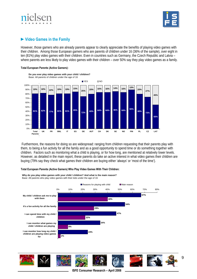![](_page_8_Picture_0.jpeg)

![](_page_8_Picture_1.jpeg)

# **►Video Games in the Family**

However, those gamers who are already parents appear to clearly appreciate the benefits of playing video games with their children. Among those European gamers who are parents of children under 16 (36% of the sample), over eight in ten (81%) play video games with their children. Even in countries such as Germany, the Czech Republic and Latvia – where parents are less likely to play video games with their children – over 50% say they play video games as a family.

#### **Total European Parents (Active Gamers):**

![](_page_8_Figure_5.jpeg)

 Furthermore, the reasons for doing so are widespread: ranging from children requesting that their parents play with them, to being a fun activity for all the family and as a good opportunity to spend time or do something together with children. Factors such as monitoring what a child is playing, or for how long, are mentioned at relatively lower levels. However, as detailed in the main report, these parents do take an active interest in what video games their children are buying (79% say they check what games their children are buying either 'always' or 'most of the time').

#### **Total European Parents (Active Gamers) Who Play Video Games With Their Children:**

**Why do you play video games with your child / children? And what is the main reason?** Base: All parents who play video games with their kids under the age of 16

![](_page_8_Figure_9.jpeg)

![](_page_8_Picture_10.jpeg)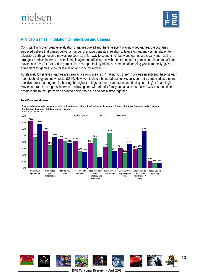![](_page_9_Picture_0.jpeg)

![](_page_9_Picture_1.jpeg)

# **►Video Games in Relation to Television and Cinema**

Consistent with their positive evaluation of games overall and the time spent playing video games, the countries surveyed believe that games deliver a number of unique benefits in relation to television and movies. In relation to television, both games and movies are seen as a 'fun way to spend time', but video games are clearly seen as the strongest medium in terms of stimulating imagination (57% agree with the statement for games, in relation to 48% for movies and 35% for TV). Video games also score particularly highly as a means of keeping you 'fit mentally' (42% agreement for games, 26% for television and 25% for movies).

At relatively lower levels, games are seen as a strong means of 'making you think' (45% agreement) and 'helping learn about technology and new media' (38%). However, it should be noted that television is currently perceived as a more effective direct learning tool (achieving the highest ratings for those statements mentioning 'learning' or 'teaching'). Movies are rated the highest in terms of allowing time with friends/ family and as a 'constructive' way to spend time – possibly due to their perceived ability to deliver both fun and social time together.

#### **Total European Gamers:**

**Please indicate whether you agree with each statement using a 1 to 5 rating scale, where a 5 stands for Agree Strongly, and a 1 stands for Disagree Strongly - Total agreement (5 plus 4)** Base: All respondents

![](_page_9_Figure_7.jpeg)

![](_page_9_Picture_8.jpeg)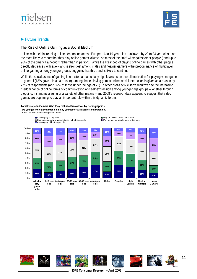![](_page_10_Picture_0.jpeg)

![](_page_10_Picture_1.jpeg)

# **►Future Trends**

## **The Rise of Online Gaming as a Social Medium**

In line with their increasing online penetration across Europe, 16 to 19 year olds – followed by 20 to 24 year olds – are the most likely to report that they play online games 'always' or 'most of the time' with/against other people ( and up to 90% of the time via a network rather than in person). While the likelihood of playing online games with other people directly decreases with age – and is strongest among males and heavier gamers – the predominance of multiplayer online gaming among younger groups suggests that this trend is likely to continue.

While the social aspect of gaming is not cited at particularly high levels as an overall motivation for playing video games in general (13% gave this as a reason), among those playing games online, social interaction is given as a reason by 27% of respondents (and 32% of those under the age of 25). In other areas of Nielsen's work we see the increasing predominance of online forms of communication and self-expression among younger age groups – whether through blogging, instant messaging or a variety of other means – and 2008's research data appears to suggest that video games are beginning to play an important role within this dynamic forum.

#### **Total European Gamers Who Play Online– Breakdown by Demographics:**

**Do you generally play games online by yourself or with/against other people?**

Base: All who play video games online

![](_page_10_Figure_9.jpeg)

![](_page_10_Picture_10.jpeg)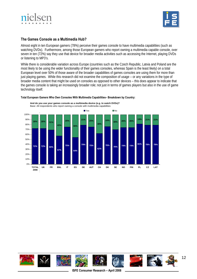![](_page_11_Picture_0.jpeg)

![](_page_11_Picture_1.jpeg)

## **The Games Console as a Multimedia Hub?**

Almost eight in ten European gamers (78%) perceive their games console to have multimedia capabilities (such as watching DVDs). Furthermore, among those European gamers who report owning a multimedia capable console, over seven in ten (72%) say they use that device for broader media activities such as accessing the Internet, playing DVDs or listening to MP3's.

While there is considerable variation across Europe (countries such as the Czech Republic, Latvia and Poland are the most likely to be using the wider functionality of their games consoles, whereas Spain is the least likely) on a total European level over 50% of those aware of the broader capabilities of games consoles are using them for more than just playing games. While this research did not examine the composition of usage – or any variations in the type of broader media content that might be used on consoles as opposed to other devices – this does appear to indicate that the games console is taking an increasingly broader role; not just in terms of games players but also in the use of game technology itself.

![](_page_11_Figure_5.jpeg)

#### **Total European Gamers Who Own Consoles With Multimedia Capabilities– Breakdown by Country:**

![](_page_11_Picture_7.jpeg)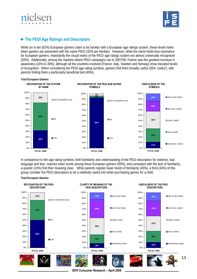![](_page_12_Picture_0.jpeg)

![](_page_12_Picture_1.jpeg)

# **►The PEGI Age Ratings and Descriptors**

While six in ten (62%) European gamers claim to be familiar with a European age ratings system, these levels halve when gamers are presented with the name PEGI (32% are familiar). However, while the name holds less resonance for European gamers, importantly the visual marks of the PEGI age ratings system are almost universally recognised (93%). Additionally, among the markets where PEGI campaigns ran in 2007/08, France saw the greatest increase in awareness (24% to 39%), although all the countries involved (France, Italy, Sweden and Norway) show elevated levels of recognition. When considering the PEGI age rating symbols, gamers find them broadly useful (35% 'useful'), with parents finding them a particularly beneficial tool (49%).

![](_page_12_Figure_4.jpeg)

In comparison to the age rating symbols, both familiarity and understanding of the PEGI descriptors for violence, bad language and fear, reaches lower levels among these European gamers (50%), and consistent with the lack of familiarity, a quarter (24%) find their meaning clear. While parents register lower levels of familiarity (43%), a third (34%) of this group consider the PEGI descriptors to be a relatively useful tool when purchasing games for a child.

![](_page_12_Figure_6.jpeg)

**ISFE Consumer Research – April 2008**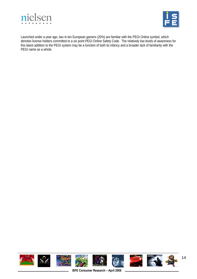![](_page_13_Picture_0.jpeg)

![](_page_13_Picture_1.jpeg)

Launched under a year ago, two in ten European gamers (20%) are familiar with the PEGI Online symbol, which denotes license holders committed to a six point PEGI Online Safety Code. The relatively low levels of awareness for this latest addition to the PEGI system may be a function of both its infancy and a broader lack of familiarity with the PEGI name as a whole.

![](_page_13_Picture_3.jpeg)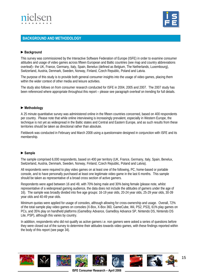![](_page_14_Picture_0.jpeg)

![](_page_14_Picture_1.jpeg)

## **BACKGROUND AND METHODOLOGY**

### **►Background**

This survey was commissioned by the Interactive Software Federation of Europe (ISFE) in order to examine consumer attitudes and usage of video games across fifteen European and Baltic countries (see map and country abbreviations overleaf)– the UK, France, Germany, Italy, Spain, Benelux (defined as Belgium, The Netherlands, Luxembourg), Switzerland, Austria, Denmark, Sweden, Norway, Finland, Czech Republic, Poland and Latvia.

The purpose of this study is to provide both general consumer insights into the usage of video games, placing them within the wider context of other media and leisure activities.

The study also follows on from consumer research conducted for ISFE in 2004, 2005 and 2007. The 2007 study has been referenced where appropriate throughout this report – please see paragraph overleaf on trending for full details.

#### **►Methodology**

A 25 minute quantitative survey was administered online in the fifteen countries concerned, based on 400 respondents per country. Please note that while online interviewing is increasingly prevalent, especially in Western Europe, the technique is not yet as widespread in the Baltic states and Central and Eastern Europe, and as such results from these territories should be taken as directional rather than absolute.

Fieldwork was conducted in February and March 2008 using a questionnaire designed in conjunction with ISFE and its membership.

#### **►Sample**

The sample comprised 6,000 respondents, based on 400 per territory (UK, France, Germany, Italy, Spain, Benelux, Switzerland, Austria, Denmark, Sweden, Norway, Finland, Czech Republic, Poland and Latvia).

All respondents were required to play video games on at least one of the following, PC, home-based or portable console, and to have personally purchased at least one legitimate video game in the last 6 months. This sample should be taken as representative of a broad cross section of active gamers.

Respondents were aged between 16 and 49, with 70% being male and 30% being female (please note, whilst representative of a widespread gaming audience, the data does not include the attitudes of gamers under the age of 16). The sample was broadly divided into five age groups: 16-19 year olds, 20-24 year olds, 25-29 year olds, 30-39 year olds and 40-49 year olds.

Minimum quotas were applied for usage of consoles, although allowing for cross-ownership and usage. Overall, 72% of the total sample play video games on consoles (X-Box, X-Box 360, GameCube, Wii, PS2, PS3), 61% play games on PCs, and 35% play on handheld platforms (GameBoy Advance, GameBoy Advance SP, Nintendo DS, Nintendo DS Lite, PSP), although this varies by country.

In addition, respondents who did not qualify as active gamers i.e. non gamers were asked a series of questions before they were closed out of the survey to determine their attitudes towards video games, with these findings reported within the body of this report (see page 34).

![](_page_14_Picture_16.jpeg)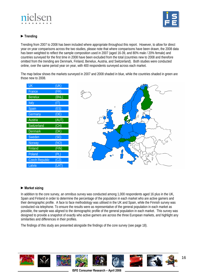![](_page_15_Picture_0.jpeg)

![](_page_15_Picture_1.jpeg)

## **►Trending**

Trending from 2007 to 2008 has been included where appropriate throughout this report. However, to allow for direct year on year comparisons across the two studies, please note that where comparisons have been drawn, the 2008 data has been weighted to reflect the sample composition used in 2007 (aged 16-39, and 80% male / 20% female) and countries surveyed for the first time in 2008 have been excluded from the total (countries new to 2008 and therefore omitted from the trending are Denmark, Finland, Benelux, Austria, and Switzerland). Both studies were conducted online, over the same period year on year, with 400 respondents surveyed across each market.

The map below shows the markets surveyed in 2007 and 2008 shaded in blue, while the countries shaded in green are those new to 2008.

| UK                    | (UK)  |
|-----------------------|-------|
| France                | (FR)  |
| <b>Benelux</b>        | (BNL) |
| Italy                 | (IT)  |
| Spain                 | (ES)  |
| Germany               | (DE)  |
| Austria               | (AUT) |
| Switzerland           | (CH)  |
| <b>Denmark</b>        | (DK)  |
| Sweden                | (SE)  |
| Norway                | (NO)  |
| Finland               | (FIN) |
| Poland                | (PL)  |
| <b>Czech Republic</b> | (CZ)  |
| Latvia                | _AT)  |

![](_page_15_Figure_6.jpeg)

## **►Market sizing**

In addition to the core survey, an omnibus survey was conducted among 1,000 respondents aged 16 plus in the UK, Spain and Finland in order to determine the percentage of the population in each market who are active gamers and their demographic profile. A face to face methodology was utilised in the UK and Spain, while the Finnish survey was conducted via telephone. To ensure the results were as representative of the general population in each market as possible, the sample was aligned to the demographic profile of the general population in each market. This survey was designed to provide a snapshot of exactly who active gamers are across the three European markets, and highlight any similarities and differences in their profiles.

The findings of this study are presented alongside the findings of the core survey (see page 18).

![](_page_15_Picture_10.jpeg)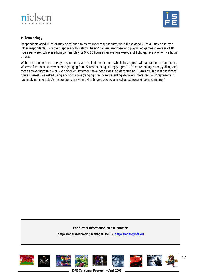![](_page_16_Picture_0.jpeg)

![](_page_16_Picture_1.jpeg)

## **►Terminology**

Respondents aged 16 to 24 may be referred to as 'younger respondents', while those aged 25 to 49 may be termed 'older respondents'. For the purposes of this study, 'heavy' gamers are those who play video games in excess of 10 hours per week, while 'medium gamers play for 6 to 10 hours in an average week, and 'light' gamers play for five hours or less.

Within the course of the survey, respondents were asked the extent to which they agreed with a number of statements. Where a five point scale was used (ranging from '5' representing 'strongly agree' to '1' representing 'strongly disagree'), those answering with a 4 or 5 to any given statement have been classified as 'agreeing'. Similarly, in questions where future interest was asked using a 5 point scale (ranging from '5' representing 'definitely interested' to '1' representing 'definitely not interested'), respondents answering 4 or 5 have been classified as expressing 'positive interest'.

**For further information please contact:** 

**Katja Mader (Marketing Manager, ISFE): [Katja.Mader@isfe.eu](mailto:Katja.Mader@isfe.eu)** 

![](_page_16_Picture_7.jpeg)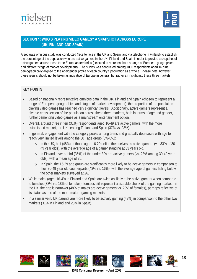![](_page_17_Picture_0.jpeg)

![](_page_17_Picture_1.jpeg)

# **SECTION 1: WHO'S PLAYING VIDEO GAMES? A SNAPSHOT ACROSS EUROPE (UK, FINLAND AND SPAIN)**

A separate omnibus study was conducted (face to face in the UK and Spain, and via telephone in Finland) to establish the percentage of the population who are active gamers in the UK, Finland and Spain in order to provide a snapshot of active gamers across these three European territories (selected to represent both a range of European geographies and different stage of market development). The survey was conducted among 1000 respondents aged 16 plus, demographically aligned to the age/gender profile of each country's population as a whole. Please note, however, these results should not be taken as indicative of Europe in general, but rather an insight into these three markets.

## **KEY POINTS**

- Based on nationally representative omnibus data in the UK, Finland and Spain (chosen to represent a range of European geographies and stages of market development), the proportion of the population playing video games has reached very significant levels. Additionally, active gamers represent a diverse cross section of the population across these three markets, both in terms of age and gender, further cementing video games as a mainstream entertainment option.
- Overall, around three in ten (31%) respondents aged 16-49 are active gamers, with the more established market, the UK, leading Finland and Spain (37% vs. 28%).
- In general, engagement with the category peaks among teens and gradually decreases with age to reach very limited levels among the 50+ age group (3%-6%):
	- o In the UK, half (48%) of those aged 16-29 define themselves as active gamers (vs. 33% of 30- 49 year olds), with the average age of a gamer standing at 33 years old.
	- o In Finland, over a third (36%) of the under 30s are active gamers (vs. 23% among 30-49 year olds), with a mean age of 30.
	- o In Spain, the 16-29 age group are significantly more likely to be active gamers in comparison to their 30-49 year old counterparts (43% vs. 16%), with the average age of gamers falling below the other markets surveyed at 26.
- While males (aged 16-49) in Finland and Spain are twice as likely to be active gamers when compared to females (38% vs. 18% of females), females still represent a sizeable chunk of the gaming market. In the UK, the gap is narrower (48% of males are active gamers vs. 29% of females), perhaps reflective of its status as one of the more mature gaming markets.
- In a similar vein, UK parents are more likely to be actively gaming (42%) in comparison to the other two markets (31% in Finland and 23% in Spain).

![](_page_17_Picture_13.jpeg)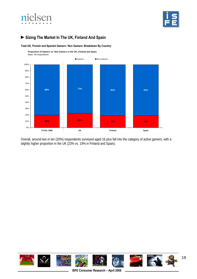![](_page_18_Picture_0.jpeg)

![](_page_18_Picture_1.jpeg)

# **►Sizing The Market In The UK, Finland And Spain**

**Total UK, Finnish and Spanish Gamers / Non Gamers- Breakdown By Country:** 

**Proportion of Gamers vs. Non Gamers in the UK, Finland and Spain** Base: All respondents

![](_page_18_Figure_5.jpeg)

Overall, around two in ten (20%) respondents surveyed aged 16 plus fall into the category of active gamers, with a slightly higher proportion in the UK (23% vs. 19% in Finland and Spain).

![](_page_18_Picture_7.jpeg)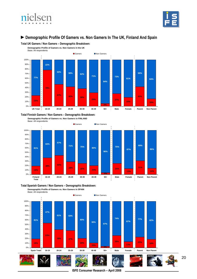![](_page_19_Picture_0.jpeg)

![](_page_19_Picture_1.jpeg)

## **►Demographic Profile Of Gamers vs. Non Gamers In The UK, Finland And Spain**

**Total UK Gamers / Non Gamers – Demographic Breakdown:** 

![](_page_19_Figure_5.jpeg)

**Total Finnish Gamers / Non Gamers – Demographic Breakdown:** 

**Demographic Profile of Gamers vs. Non Gamers in FINLAND**

![](_page_19_Figure_8.jpeg)

![](_page_19_Figure_9.jpeg)

![](_page_19_Figure_10.jpeg)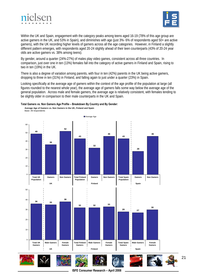![](_page_20_Picture_0.jpeg)

![](_page_20_Picture_1.jpeg)

Within the UK and Spain, engagement with the category peaks among teens aged 16-19 (78% of this age group are active gamers in the UK, and 53% in Spain), and diminishes with age (just 3%- 6% of respondents aged 50+ are active gamers), with the UK recording higher levels of gamers across all the age categories. However, in Finland a slightly different pattern emerges, with respondents aged 20-24 slightly ahead of their teen counterparts (43% of 20-24 year olds are active gamers vs. 38% among teens).

By gender, around a quarter (24%-27%) of males play video games, consistent across all three countries. In comparison, just over one in ten (13%) females fall into the category of active gamers in Finland and Spain, rising to two in ten (19%) in the UK.

There is also a degree of variation among parents, with four in ten (42%) parents in the UK being active gamers, dropping to three in ten (31%) in Finland, and falling again to just under a quarter (23%) in Spain.

Looking specifically at the average age of gamers within the context of the age profile of the population at large (all figures rounded to the nearest whole year), the average age of gamers falls some way below the average age of the general population. Across male and female gamers, the average age is relatively consistent, with females tending to be slightly older in comparison to their male counterparts in the UK and Spain.

![](_page_20_Figure_6.jpeg)

![](_page_20_Figure_7.jpeg)

**Average Age of Gamers vs. Non Gamers in the UK, Finland and Spain**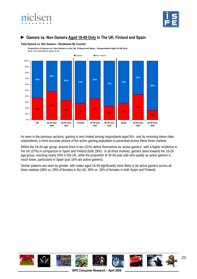![](_page_21_Picture_0.jpeg)

![](_page_21_Picture_1.jpeg)

# **► Gamers vs. Non Gamers Aged 16-49 Only In The UK, Finland and Spain**

**Total Gamers vs. Non Gamers – Breakdown By Country:** 

**Proportion of Gamers vs. Non Gamers in the UK, Finland and Spain - Respondents Aged 16-49 Only** Base: All respondents aged 16-49

![](_page_21_Figure_5.jpeg)

As seen in the previous sections, gaming is very limited among respondents aged 50+, and by removing these older respondents, a more accurate picture of the active gaming population is presented across these three markets.

Within the 16-49 age group, around three in ten (31%) define themselves as 'active gamers', with a higher incidence in the UK (37%) in comparison to Spain and Finland (both 28%). In all three markets, gamers skew towards the 16-29 age group, reaching nearly 50% in the UK, while the proportion of 30-49 year olds who qualify as active gamers is much lower, particularly in Spain (just 16% are active gamers).

Similar patterns are seen by gender, with males aged 16-49 significantly more likely to be active gamers across all three markets (48% vs. 29% of females in the UK; 38% vs. 18% of females in both Spain and Finland).

![](_page_21_Picture_9.jpeg)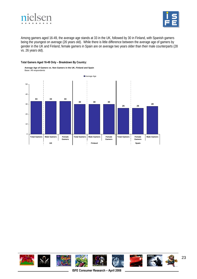![](_page_22_Picture_0.jpeg)

![](_page_22_Picture_1.jpeg)

Among gamers aged 16-49, the average age stands at 33 in the UK, followed by 30 in Finland, with Spanish gamers being the youngest on average (26 years old). While there is little difference between the average age of gamers by gender in the UK and Finland, female gamers in Spain are on average two years older than their male counterparts (28 vs. 26 years old).

#### **Total Gamers Aged 16-49 Only – Breakdown By Country:**

![](_page_22_Figure_4.jpeg)

![](_page_22_Picture_5.jpeg)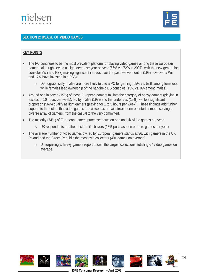![](_page_23_Picture_0.jpeg)

![](_page_23_Picture_1.jpeg)

## **SECTION 2: USAGE OF VIDEO GAMES**

### **KEY POINTS**

- The PC continues to be the most prevalent platform for playing video games among these European gamers, although seeing a slight decrease year on year (66% vs. 72% in 2007), with the new generation consoles (Wii and PS3) making significant inroads over the past twelve months (19% now own a Wii and 17% have invested in a PS3):
	- o Demographically, males are more likely to use a PC for gaming (65% vs. 53% among females), while females lead ownership of the handheld DS consoles (15% vs. 9% among males).
- Around one in seven (15%) of these European gamers fall into the category of heavy gamers (playing in excess of 10 hours per week), led by males (19%) and the under 25s (19%), while a significant proportion (56%) qualify as light gamers (playing for 1 to 5 hours per week). These findings add further support to the notion that video games are viewed as a mainstream form of entertainment, serving a diverse array of gamers, from the casual to the very committed.
- The majority (74%) of European gamers purchase between one and six video games per year:
	- o UK respondents are the most prolific buyers (18% purchase ten or more games per year).
- The average number of video games owned by European gamers stands at 36, with gamers in the UK, Poland and the Czech Republic the most avid collectors (40+ games on average).
	- o Unsurprisingly, heavy gamers report to own the largest collections, totalling 67 video games on average.

![](_page_23_Picture_11.jpeg)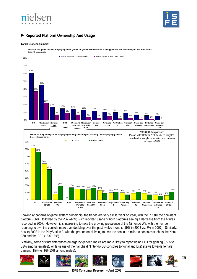![](_page_24_Picture_0.jpeg)

![](_page_24_Picture_1.jpeg)

# **►Reported Platform Ownership And Usage**

#### **Total European Gamers:**

**Which of the game systems for playing video games do you currently use for playing games? And which do you use most often?** Base: All respondents

![](_page_24_Figure_5.jpeg)

Looking at patterns of game system ownership, the trends are very similar year on year, with the PC still the dominant platform (66%), followed by the PS2 (42%), with reported usage of both platforms seeing a decrease from the figures recorded in 2007. However, it is interesting to note the growing prevalence of the Nintendo Wii, with the number reporting to own the console more than doubling over the past twelve months (19% in 2008 vs. 8% in 2007). Similarly, new to 2008 is the PlayStation 3, with the proportion claiming to own the console similar to consoles such as the Xbox 360 and the PSP (15%-16%).

Similarly, some distinct differences emerge by gender; males are more likely to report using PCs for gaming (65% vs. 53% among females), while usage of the handheld Nintendo DS consoles (original and Lite) skews towards female gamers (15% vs. 9%-10% among males).

![](_page_24_Picture_8.jpeg)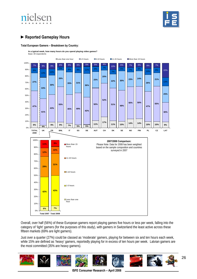![](_page_25_Picture_0.jpeg)

![](_page_25_Picture_1.jpeg)

# **►Reported Gameplay Hours**

#### **Total European Gamers – Breakdown by Country:**

**In a typical week, how many hours do you spend playing video games?**

![](_page_25_Figure_5.jpeg)

Overall, over half (56%) of these European gamers report playing games five hours or less per week, falling into the category of 'light' gamers (for the purposes of this study), with gamers in Switzerland the least active across these fifteen markets (69% are light gamers).

Just over a quarter (27%) could be classed as 'moderate' gamers, playing for between six and ten hours each week, while 15% are defined as 'heavy' gamers, reportedly playing for in excess of ten hours per week. Latvian gamers are the most committed (35% are heavy gamers).

![](_page_25_Picture_8.jpeg)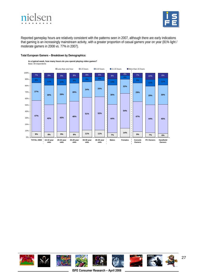![](_page_26_Picture_0.jpeg)

![](_page_26_Picture_1.jpeg)

Reported gameplay hours are relatively consistent with the patterns seen in 2007, although there are early indications that gaming is an increasingly mainstream activity, with a greater proportion of casual gamers year on year (81% light / moderate gamers in 2008 vs. 77% in 2007).

#### **Total European Gamers – Breakdown by Demographics:**

![](_page_26_Figure_4.jpeg)

![](_page_26_Picture_5.jpeg)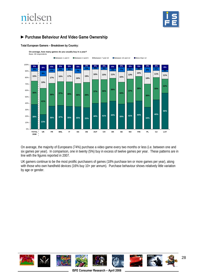![](_page_27_Picture_0.jpeg)

![](_page_27_Picture_1.jpeg)

# **►Purchase Behaviour And Video Game Ownership**

#### **Total European Gamers – Breakdown by Country:**

**On average, how many games do you usually buy in a year?**

![](_page_27_Figure_5.jpeg)

On average, the majority of Europeans (74%) purchase a video game every two months or less (i.e. between one and six games per year). In comparison, one in twenty (5%) buy in excess of twelve games per year. These patterns are in line with the figures reported in 2007.

UK gamers continue to be the most prolific purchasers of games (18% purchase ten or more games per year), along with those who own handheld devices (16% buy 10+ per annum). Purchase behaviour shows relatively little variation by age or gender.

![](_page_27_Picture_8.jpeg)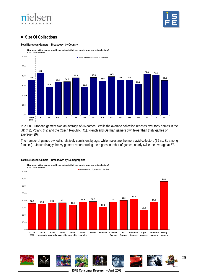# ielsen

![](_page_28_Picture_1.jpeg)

# **►Size Of Collections**

#### **Total European Gamers – Breakdown by Country:**

**How many video games would you estimate that you own in your current collection?** Base: All respondents

![](_page_28_Figure_5.jpeg)

In 2008, European gamers own an average of 36 games. While the average collection reaches over forty games in the UK (43), Poland (42) and the Czech Republic (41), French and German gamers own fewer than thirty games on average (29).

The number of games owned is relatively consistent by age, while males are the more avid collectors (39 vs. 31 among females). Unsurprisingly, heavy gamers report owning the highest number of games, nearly twice the average at 67.

![](_page_28_Figure_8.jpeg)

#### **Total European Gamers – Breakdown by Demographics:**

![](_page_28_Picture_10.jpeg)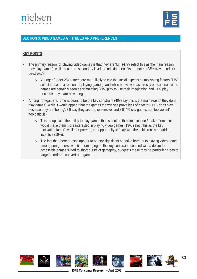![](_page_29_Picture_0.jpeg)

![](_page_29_Picture_1.jpeg)

# **SECTION 3: VIDEO GAMES ATTITUDES AND PREFERENCES**

## **KEY POINTS**

- The primary reason for playing video games is that they are 'fun' (47% select this as the main reason they play games), while at a more secondary level the relaxing benefits are noted (23% play to 'relax / de-stress'):
	- o Younger (under 25) gamers are more likely to cite the social aspects as motivating factors (17% select these as a reason for playing games), and while not viewed as directly educational, video games are certainly seen as stimulating (21% play to use their imagination and 11% play because they learn new things).
- Among non-gamers, time appears to be the key constraint (40% say this is the main reason they don't play games), while it would appear that the games themselves prove less of a factor (13% don't play because they are 'boring', 8% say they are 'too expensive' and 3%-4% say games are 'too violent' or 'too difficult'):
	- o This group claim the ability to play games that 'stimulate their imagination / make them think' would make them more interested in playing video games (19% select this as the key motivating factor), while for parents, the opportunity to 'play with their children' is an added incentive (19%).
	- o The fact that there doesn't appear to be any significant negative barriers to playing video games among non-gamers, with time emerging as the key constraint, coupled with a desire for accessible games suited to short bursts of gameplay, suggests these may be particular areas to target in order to convert non-gamers.

![](_page_29_Picture_9.jpeg)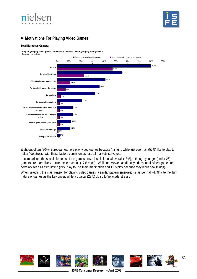![](_page_30_Picture_0.jpeg)

![](_page_30_Picture_1.jpeg)

# **►Motivations For Playing Video Games**

#### **Total European Gamers:**

**Why do you play video games? And what is the main reason you play videogames?**

![](_page_30_Figure_5.jpeg)

Eight out of ten (80%) European gamers play video games because 'it's fun', while just over half (55%) like to play to 'relax / de-stress', with these factors consistent across all markets surveyed.

In comparison, the social elements of the games prove less influential overall (13%), although younger (under 25) gamers are more likely to cite these reasons (17% each). While not viewed as directly educational, video games are certainly seen as stimulating (21% play to use their imagination and 11% play because they learn new things).

When selecting the main reason for playing video games, a similar pattern emerges; just under half (47%) cite the 'fun' nature of games as the key driver, while a quarter (23%) do so to 'relax /de-stress'.

![](_page_30_Picture_9.jpeg)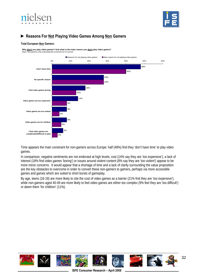![](_page_31_Picture_0.jpeg)

![](_page_31_Picture_1.jpeg)

# **► Reasons For Not Playing Video Games Among Non Gamers**

#### **Total European Non Gamers:**

**Why don't you play video games? And what is the main reason you don't play video games?** Base: Non gamers only (subsequently screened out of survey)

![](_page_31_Figure_5.jpeg)

Time appears the main constraint for non-gamers across Europe; half (48%) find they 'don't have time' to play video games.

In comparison, negative sentiments are not endorsed at high levels; cost (14% say they are 'too expensive'), a lack of interest (18% find video games 'boring') or issues around violent content (8% say they are 'too violent') appear to be more minor concerns. It would appear that a shortage of time and a lack of clarity surrounding the value proposition are the key obstacles to overcome in order to convert these non-gamers to gamers, perhaps via more accessible games and games which are suited to short bursts of gameplay.

By age, teens (16-19) are more likely to cite the cost of video games as a barrier (21% find they are 'too expensive'), while non-gamers aged 40-49 are more likely to feel video games are either too complex (9% feel they are 'too difficult') or deem them 'for children' (11%).

![](_page_31_Picture_9.jpeg)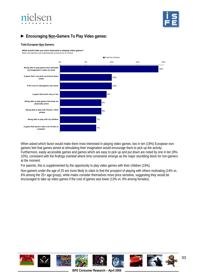![](_page_32_Picture_0.jpeg)

![](_page_32_Picture_1.jpeg)

# **► Encouraging Non-Gamers To Play Video games:**

#### **Total European Non Gamers:**

**What would make you more interested in playing video games?** Base: Non gamers only (subsequently screened out of survey)

![](_page_32_Figure_5.jpeg)

When asked which factor would make them most interested in playing video games, two in ten (19%) European nongamers feel that games aimed at stimulating their imagination would encourage them to pick up the activity. Furthermore, easily accessible games and games which are easy to pick up and put down are noted by one in ten (9%- 10%), consistent with the findings overleaf where time constraints emerge as the major stumbling block for non-gamers at the moment.

For parents, this is supplemented by the opportunity to play video games with their children (19%).

Non-gamers under the age of 25 are more likely to claim to find the prospect of playing with others motivating (14% vs. 6% among the 25+ age group), while males consider themselves more price sensitive, suggesting they would be encouraged to take up video games if the cost of games was lower (13% vs. 8% among females).

![](_page_32_Picture_9.jpeg)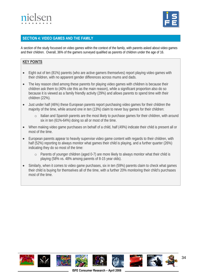![](_page_33_Picture_0.jpeg)

![](_page_33_Picture_1.jpeg)

# **SECTION 4: VIDEO GAMES AND THE FAMILY**

A section of the study focussed on video games within the context of the family, with parents asked about video games and their children. Overall, 36% of the gamers surveyed qualified as parents of children under the age of 16.

## **KEY POINTS**

- Eight out of ten (81%) parents (who are active gamers themselves) report playing video games with their children, with no apparent gender differences across mums and dads.
- The key reason cited among these parents for playing video games with children is because their children ask them to (40% cite this as the main reason), while a significant proportion also do so because it is viewed as a family friendly activity (29%) and allows parents to spend time with their children (22%).
- Just under half (46%) these European parents report purchasing video games for their children the majority of the time, while around one in ten (13%) claim to never buy games for their children:
	- o Italian and Spanish parents are the most likely to purchase games for their children, with around six in ten (61%-64%) doing so all or most of the time.
- When making video game purchases on behalf of a child, half (49%) indicate their child is present all or most of the time.
- European parents appear to heavily supervise video game content with regards to their children, with half (52%) reporting to always monitor what games their child is playing, and a further quarter (26%) indicating they do so most of the time:
	- o Parents of younger children (aged 0-7) are more likely to always monitor what their child is playing (58% vs. 48% among parents of 8-15 year olds).
- Similarly, when it comes to video game purchases, six in ten (59%) parents claim to check what games their child is buying for themselves all of the time, with a further 20% monitoring their child's purchases most of the time.

![](_page_33_Picture_13.jpeg)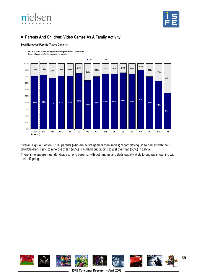![](_page_34_Picture_0.jpeg)

![](_page_34_Picture_1.jpeg)

# **►Parents And Children: Video Games As A Family Activity**

![](_page_34_Figure_3.jpeg)

#### **Total European Parents (Active Gamers):**

**Do you ever play video games with your child / children?** Base: All parents of children under the age of 16

Overall, eight out of ten (81%) parents (who are active gamers themselves) report playing video games with their child/children, rising to nine out of ten (90%) in Finland but dipping to just over half (55%) in Latvia.

There is no apparent gender divide among parents, with both mums and dads equally likely to engage in gaming with their offspring.

![](_page_34_Picture_8.jpeg)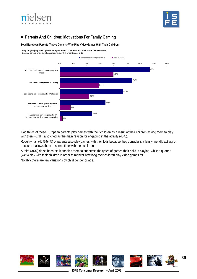![](_page_35_Picture_0.jpeg)

![](_page_35_Picture_1.jpeg)

# **►Parents And Children: Motivations For Family Gaming**

#### **Total European Parents (Active Gamers) Who Play Video Games With Their Children:**

![](_page_35_Figure_4.jpeg)

Two thirds of these European parents play games with their children as a result of their children asking them to play with them (67%), also cited as the main reason for engaging in the activity (40%).

Roughly half (47%-54%) of parents also play games with their kids because they consider it a family friendly activity or because it allows them to spend time with their children.

A third (34%) do so because it enables them to supervise the types of games their child is playing, while a quarter (24%) play with their children in order to monitor how long their children play video games for.

Notably there are few variations by child gender or age.

![](_page_35_Picture_9.jpeg)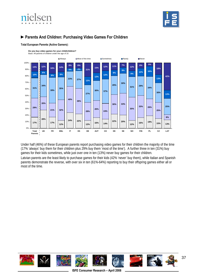



## **►Parents And Children: Purchasing Video Games For Children**



#### **Total European Parents (Active Gamers):**

Under half (46%) of these European parents report purchasing video games for their children the majority of the time (17% 'always' buy them for their children plus 29% buy them 'most of the time'). A further three in ten (31%) buy games for their kids sometimes, while just over one in ten (13%) never buy games for their children.

Latvian parents are the least likely to purchase games for their kids (42% 'never' buy them), while Italian and Spanish parents demonstrate the reverse, with over six in ten (61%-64%) reporting to buy their offspring games either all or most of the time.

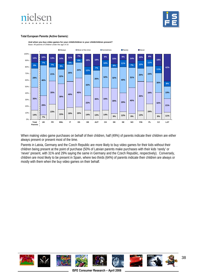



#### **Total European Parents (Active Gamers):**



**And when you buy video games for your child/children is your child/children present?** Base: All parents of children under the age of 16

When making video game purchases on behalf of their children, half (49%) of parents indicate their children are either always present or present most of the time.

Parents in Latvia, Germany and the Czech Republic are more likely to buy video games for their kids without their children being present at the point of purchase (50% of Latvian parents make purchases with their kids 'rarely' or 'never' present, with 31% and 29% saying the same in Germany and the Czech Republic, respectively). Conversely, children are most likely to be present in Spain, where two thirds (64%) of parents indicate their children are always or mostly with them when the buy video games on their behalf.

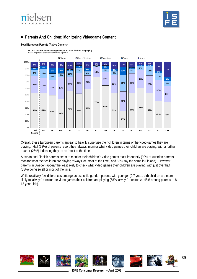



## **►Parents And Children: Monitoring Videogame Content**



**Total European Parents (Active Gamers):** 

Overall, these European parents appear to heavily supervise their children in terms of the video games they are playing. Half (52%) of parents report they 'always' monitor what video games their children are playing, with a further quarter (26%) indicating they do so 'most of the time'.

Austrian and Finnish parents seem to monitor their children's video games most frequently (93% of Austrian parents monitor what their children are playing 'always' or 'most of the time', and 88% say the same in Finland). However, parents in Sweden appear the least likely to check what video games their children are playing, with just over half (55%) doing so all or most of the time.

While relatively few differences emerge across child gender, parents with younger (0-7 years old) children are more likely to 'always' monitor the video games their children are playing (58% 'always' monitor vs. 48% among parents of 8-15 year olds).

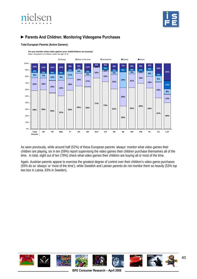



## **►Parents And Children: Monitoring Videogame Purchases**



## **Total European Parents (Active Gamers):**

**Do you monitor what video games your child/children are buying?** Base: All parents of children under the age of 16

As seen previously, while around half (52%) of these European parents 'always' monitor what video games their children are playing, six in ten (59%) report supervising the video games their children purchase themselves all of the time. In total, eight out of ten (79%) check what video games their children are buying all or most of the time.

Again, Austrian parents appear to exercise the greatest degree of control over their children's video game purchases (93% do so 'always' or 'most of the time'), while Swedish and Latvian parents do not monitor them so heavily (53% top two box in Latvia, 63% in Sweden).

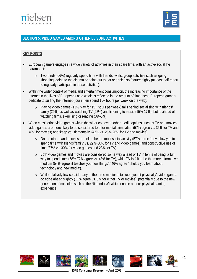



## **SECTION 5: VIDEO GAMES AMONG OTHER LEISURE ACTIVITIES**

## **KEY POINTS**

- European gamers engage in a wide variety of activities in their spare time, with an active social life paramount:
	- o Two thirds (66%) regularly spend time with friends, whilst group activities such as going shopping, going to the cinema or going out to eat or drink also feature highly (at least half report to regularly participate in these activities).
- Within the wider context of media and entertainment consumption, the increasing importance of the Internet in the lives of Europeans as a whole is reflected in the amount of time these European gamers dedicate to surfing the Internet (four in ten spend 15+ hours per week on the web):
	- o Playing video games (13% play for 15+ hours per week) falls behind socialising with friends/ family (29%) as well as watching TV (22%) and listening to music (15%-17%), but is ahead of watching films, exercising or reading (3%-5%).
- When considering video games within the wider context of other media options such as TV and movies, video games are more likely to be considered to offer mental stimulation (57% agree vs. 35% for TV and 48% for movies) and 'keep you fit mentally' (42% vs. 25%-26% for TV and movies):
	- o On the other hand, movies are felt to be the most social activity (57% agree 'they allow you to spend time with friends/family' vs. 29%-30% for TV and video games) and constructive use of time (37% vs. 30% for video games and 23% for TV).
	- o Both video games and movies are considered some way ahead of TV in terms of being 'a fun way to spend time' (68%-72% agree vs. 48% for TV), while TV is felt to be the more informative medium (54% agree 'it teaches you new things' / 46% agree 'it helps you learn about technology and new media').
	- o While relatively few consider any of the three mediums to 'keep you fit physically', video games do edge ahead slightly (11% agree vs. 8% for either TV or movies), potentially due to the new generation of consoles such as the Nintendo Wii which enable a more physical gaming experience.

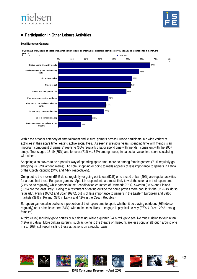



# **►Participation In Other Leisure Activities**

#### **Total European Gamers:**

**If you have a few hours of spare time, what sort of leisure or entertainment-related activities do you usually do at least once a month, Do you...?**



Within the broader category of entertainment and leisure, gamers across Europe participate in a wide variety of activities in their spare time, leading active social lives. As seen in previous years, spending time with friends is an important component of gamers' free time (66% regularly chat or spend time with friends), consistent with the 2007 study. Teens aged 16-19 (75%) and females (71% vs. 64% among males) in particular value time spent socialising with others.

Shopping also proves to be a popular way of spending spare time, more so among female gamers (71% regularly go shopping vs. 52% among males). To note, shopping or going to malls appears of less importance to gamers in Latvia or the Czech Republic (34% and 44%, respectively).

Going out to the movies (53% do so regularly) or going out to eat (52%) or to a café or bar (49%) are regular activities for around half these European gamers. Spanish respondents are most likely to visit the cinema in their spare time (71% do so regularly) while gamers in the Scandinavian countries of Denmark (37%), Sweden (38%) and Finland (36%) are the least likely. Going to a restaurant or eating outside the home proves more popular in the UK (63% do so regularly), France (60%) and Spain (62%), but is of less importance to gamers in the Eastern European and Baltic markets (38% in Poland, 39% in Latvia and 42% in the Czech Republic).

European gamers also dedicate a proportion of their spare time to sport, whether it be playing outdoors (36% do so regularly) or at a health centre (34%), with males most likely to engage in physical activity (37%-41% vs. 28% among females).

A third (33%) regularly go to parties or out dancing, while a quarter (24%) will go to see live music, rising to four in ten (42%) in Latvia. More cultural pursuits, such as going to the theatre or museum, are less popular although around one in six (16%) still report visiting these attractions on a regular basis.

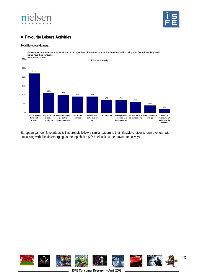



## **►Favourite Leisure Activities**

#### **Total European Gamers:**



European gamers' favourite activities broadly follow a similar pattern to their lifestyle choices shown overleaf, with socialising with friends emerging as the top choice (22% select it as their favourite activity).

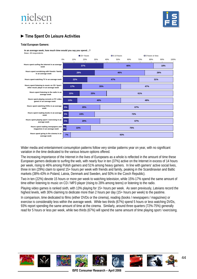



# **►Time Spent On Leisure Activities**

#### **Total European Gamers:**

**In an average week, how much time would you say you spend…?**



Wider media and entertainment consumption patterns follow very similar patterns year on year, with no significant variation in the time dedicated to the various leisure options offered.

The increasing importance of the Internet in the lives of Europeans as a whole is reflected in the amount of time these European gamers dedicate to surfing the web, with nearly four in ten (37%) active on the Internet in excess of 14 hours per week, rising to 46% among Polish gamers and 51% among heavy gamers. In line with gamers' active social lives, three in ten (29%) claim to spend 15+ hours per week with friends and family, peaking in the Scandinavian and Baltic markets (38%-43% in Poland, Latvia, Denmark and Sweden, and 50% in the Czech Republic).

Two in ten (22%) devote 15 hours or more per week to watching television, while 15%-17% spend the same amount of time either listening to music on CD / MP3 player (rising to 28% among teens) or listening to the radio.

Playing video games is ranked sixth, with 13% playing for 15+ hours per week. As seen previously, Latvians record the highest levels, with 30% claiming to dedicate more than 2 hours per day (15+ hours per week) to the pastime.

In comparison, time dedicated to films (either DVDs or the cinema), reading (books / newspapers / magazines) or exercise is considerably less within the average week. While two thirds (67%) spend 5 hours or less watching DVDs, 93% report spending the same amount of time at the cinema. Similarly, around three quarters (72%-75%) generally read for 5 hours or less per week, while two thirds (67%) will spend the same amount of time playing sport / exercising.

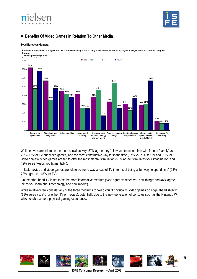



## **►Benefits Of Video Games In Relation To Other Media**

#### **Total European Gamers:**

**Please indicate whether you agree with each statement using a 1 to 5 rating scale, where a 5 stands for Agree Strongly, and a 1 stands for Disagree Strongly**



While movies are felt to be the most social activity (57% agree they 'allow you to spend time with friends / family' vs. 29%-30% for TV and video games) and the most constructive way to spend time (37% vs. 23% for TV and 30% for video games), video games are felt to offer the most mental stimulation (57% agree 'stimulates your imagination' and 42% agree 'keeps you fit mentally').

In fact, movies and video games are felt to be some way ahead of TV in terms of being a 'fun way to spend time' (68%- 72% agree vs. 48% for TV).

On the other hand TV is felt to be the more informative medium (54% agree 'teaches you new things' and 46% agree 'helps you learn about technology and new media').

While relatively few consider any of the three mediums to 'keep you fit physically', video games do edge ahead slightly (11% agree vs. 8% for either TV or movies), potentially due to the new generation of consoles such as the Nintendo Wii which enable a more physical gaming experience.

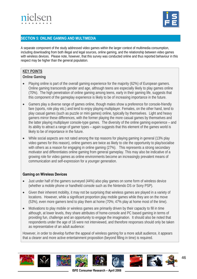



## **SECTION 5: ONLINE GAMING AND MULTIMEDIA**

A separate component of the study addressed video games within the larger context of multimedia consumption, including downloading from both illegal and legal sources, online gaming, and the relationship between video games with wireless devices. Please note, however, that this survey was conducted online and thus reported behaviour in this respect may be higher than the general population.

## **KEY POINTS**

## **Online Gaming**

- Playing online is part of the overall gaming experience for the majority (62%) of European gamers. Online gaming transcends gender and age, although teens are especially likely to play games online (70%). The high penetration of online gaming among teens, early in their gaming life, suggests that this component of the gameplay experience is likely to be of increasing importance in the future.
- Gamers play a diverse range of games online, though males show a preference for console-friendly fare (sports, role play etc.) and tend to enjoy playing multiplayer. Females, on the other hand, tend to play casual games (such as puzzle or mini games) online, typically by themselves. Light and heavy gamers mirror these differences, with the former playing the more casual games by themselves and the latter playing multiplayer console-type games. The diversity of the online gaming experience – and its ability to attract a range of gamer types – again suggests that this element of the games world is likely to be of importance in the future.
- While social aspects are not rated among the top reasons for playing gaming in general (13% play video games for this reason), online gamers are twice as likely to cite the opportunity to play/socialise with others as a reason for engaging in online gaming (27%). This represents a strong secondary motivator and differentiates online gaming from general gameplay. This may also be indicative of a growing role for video games as online environments become an increasingly prevalent means of communication and self-expression for a younger generation.

## **Gaming on Wireless Devices**

- Just under half of the gamers surveyed (44%) also play games on some form of wireless device (whether a mobile phone or handheld console such as the Nintendo DS or Sony PSP).
- Given their inherent mobility, it may not be surprising that wireless games are played in a variety of locations. However, while a significant proportion play mobile games while they are on the move (53%), even more gamers tend to play them at home (70%; 47% play at home most of the time).
- Motivations to play mobile or wireless games are primarily driven by their capacity to fill in time although, at lower levels, they share attributes of home-console and PC based gaming in terms of providing fun, challenge and an opportunity to engage the imagination. It should also be noted that respondents under the age of 16 were not interviewed, and therefore responses should only be taken as representative of an adult audience:

However, in order to develop further the appeal of wireless gaming for a more adult audience, it appears that a clearer and more active entertainment proposition (beyond filling in time) is required.

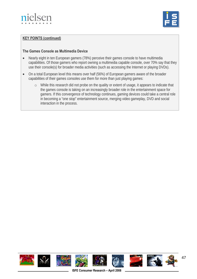



## **KEY POINTS (continued)**

## **The Games Console as Multimedia Device**

- Nearly eight in ten European gamers (78%) perceive their games console to have multimedia capabilities. Of those gamers who report owning a multimedia capable console, over 70% say that they use their console(s) for broader media activities (such as accessing the Internet or playing DVDs).
- On a total European level this means over half (56%) of European gamers aware of the broader capabilities of their games consoles use them for more than just playing games:
	- o While this research did not probe on the quality or extent of usage, it appears to indicate that the games console is taking on an increasingly broader role in the entertainment space for gamers. If this convergence of technology continues, gaming devices could take a central role in becoming a "one stop" entertainment source, merging video gameplay, DVD and social interaction in the process.

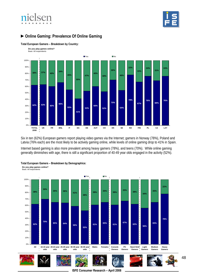



## **►Online Gaming: Prevalence Of Online Gaming**



**Total European Gamers – Breakdown by Country:**

Six in ten (62%) European gamers report playing video games via the Internet; gamers in Norway (78%), Poland and Latvia (76% each) are the most likely to be actively gaming online, while levels of online gaming drop to 41% in Spain.

Internet based gaming is also more prevalent among heavy gamers (78%), and teens (70%). While online gaming generally diminishes with age, there is still a significant proportion of 40-49 year olds engaged in the activity (52%).



## **Total European Gamers – Breakdown by Demographics:**

48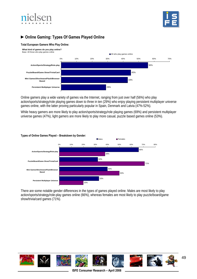



# **►Online Gaming: Types Of Games Played Online**

#### **Total European Gamers Who Play Online:**



Online gamers play a wide variety of games via the Internet, ranging from just over half (56%) who play action/sports/strategy/role playing games down to three in ten (29%) who enjoy playing persistent multiplayer universe games online, with the latter proving particularly popular in Spain, Denmark and Latvia (47%-52%).

While heavy gamers are more likely to play action/sports/strategy/role playing games (69%) and persistent multiplayer universe games (47%), light gamers are more likely to play more casual, puzzle based games online (53%).



**Types of Online Games Played – Breakdown by Gender:**

There are some notable gender differences in the types of games played online. Males are most likely to play action/sports/strategy/role-play games online (66%), whereas females are most likely to play puzzle/board/game show/trivia/card games (71%).

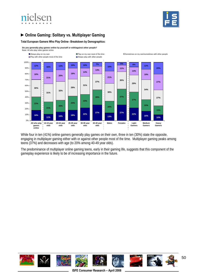



# **►Online Gaming: Solitary vs. Multiplayer Gaming**

**Total European Gamers Who Play Online– Breakdown by Demographics:** 

**Do you generally play games online by yourself or with/against other people?** Base: All who play video games online



While four in ten (41%) online gamers generally play games on their own, three in ten (30%) state the opposite, engaging in multiplayer gaming either with or against other people most of the time. Multiplayer gaming peaks among teens (37%) and decreases with age (to 20% among 40-49 year olds).

The predominance of multiplayer online gaming teens, early in their gaming life, suggests that this component of the gameplay experience is likely to be of increasing importance in the future.

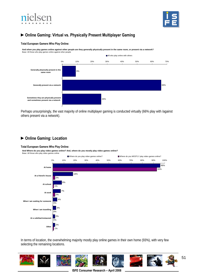



# **►Online Gaming: Virtual vs. Physically Present Multiplayer Gaming**

#### **Total European Gamers Who Play Online:**

**And when you play games online against other people are they generally physically present in the same room, or present via a network?** Base: All those who play games online against other people



Perhaps unsurprisingly, the vast majority of online multiplayer gaming is conducted virtually (66% play with /against others present via a network).

## **►Online Gaming: Location**

#### **Total European Gamers Who Play Online:**

**And Where do you play video games online? And, where do you mostly play video games online?**



In terms of location, the overwhelming majority mostly play online games in their own home (93%), with very few selecting the remaining locations.

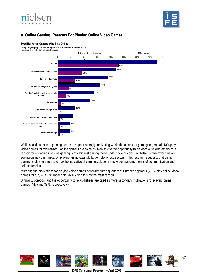



## **►Online Gaming: Reasons For Playing Online Video Games**

#### **Total European Gamers Who Play Online:**

**Why do you play online video games? And what is the main reason?**



While social aspects of gaming does not appear strongly motivating within the context of gaming in general (13% play video games for this reason), online gamers are twice as likely to cite the opportunity to play/socialise with others as a reason for engaging in online gaming (27%; highest among those under 25 years old). In Nielsen's wider work we are seeing online communication playing an increasingly larger role across sectors. This research suggests that online gaming is playing a role and may be indicative of gaming's place in a new generation's means of communication and self-expression.

Mirroring the motivations for playing video games generally, three quarters of European gamers (75%) play online video games for fun, with just under half (46%) citing this as the main reason.

Similarly, boredom and the opportunity to relax/distress are cited as more secondary motivations for playing online games (44% and 38%, respectively).

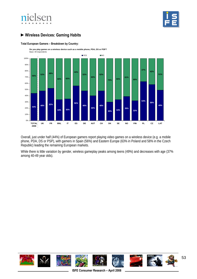



# **►Wireless Devices: Gaming Habits**

#### **Total European Gamers – Breakdown by Country:**



Overall, just under half (44%) of European gamers report playing video games on a wireless device (e.g. a mobile phone, PDA, DS or PSP), with gamers in Spain (56%) and Eastern Europe (63% in Poland and 58% in the Czech Republic) leading the remaining European markets.

While there is little variation by gender, wireless gameplay peaks among teens (49%) and decreases with age (37% among 40-49 year olds).

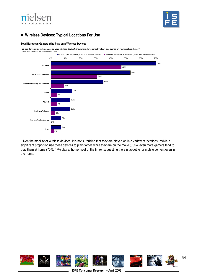



# **►Wireless Devices: Typical Locations For Use**

### **Total European Gamers Who Play on a Wireless Device:**

**Where do you play video games on your wireless device? And, where do you mostly play video games on your wireless device?**



Given the mobility of wireless devices, it is not surprising that they are played on in a variety of locations. While a significant proportion use these devices to play games while they are on the move (53%), even more gamers tend to play them at home (70%; 47% play at home most of the time), suggesting there is appetite for mobile content even in the home.

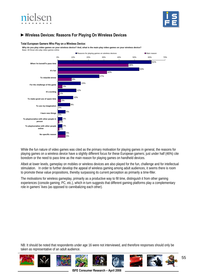



## **►Wireless Devices: Reasons For Playing On Wireless Devices**

#### **Total European Gamers Who Play on a Wireless Device:**

Why do you play video games on your wireless device? And, what is the main play video games on your wireless device?<br>Rese: All those who play video games opline



While the fun nature of video games was cited as the primary motivation for playing games in general, the reasons for playing games on a wireless device have a slightly different focus for these European gamers; just under half (46%) cite boredom or the need to pass time as the main reason for playing games on handheld devices.

Albeit at lower levels, gameplay on mobiles or wireless devices are also played for the fun, challenge and for intellectual stimulation. In order to further develop the appeal of wireless gaming among adult audiences, it seems there is room to promote these value propositions, thereby surpassing its current perception as primarily a time-filler.

The motivations for wireless gameplay, primarily as a productive way to fill time, distinguish it from other gaming experiences (console gaming, PC, etc.), which in turn suggests that different gaming platforms play a complementary role in gamers' lives (as opposed to cannibalizing each other).

NB: It should be noted that respondents under age 16 were not interviewed, and therefore responses should only be taken as representative of an adult audience.



**ISFE Consumer Research – April 2008**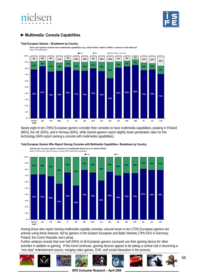



# **►Multimedia: Console Capabilities**

#### **Total European Gamers – Breakdown by Country:**

**Does your games console have multimedia capabilities (e.g. watch DVDs / listen to MP3s / connect to the Internet?**



Nearly eight in ten (78%) European gamers consider their consoles to have multimedia capabilities, peaking in Finland (86%), the UK (83%), and in Norway (83%), while Danish gamers report slightly lower penetration rates for this technology (64% report owning a console with multimedia capabilities).



**Total European Gamers Who Report Owning Consoles with Multimedia Capabilities– Breakdown by Country:**

Among those who report owning multimedia capable consoles, around seven in ten (72%) European gamers are actively using these features, led by gamers in the Eastern European and Baltic Markets (79%-81% in Germany, Poland, the Czech Republic and Latvia).

Further analysis reveals that over half (56%) of all European gamers surveyed use their gaming device for other activities in addition to gaming. If this trend continues, gaming devices appear to be taking a central role in becoming a "one stop" entertainment source, merging video games, DVD, and social interaction in the process.



**ISFE Consumer Research – April 2008**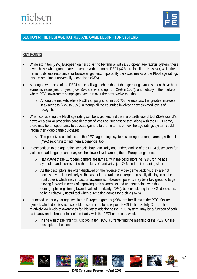



## **SECTION 6: THE PEGI AGE RATINGS AND GAME DESCRIPTOR SYSTEMS**

## **KEY POINTS**

- While six in ten (62%) European gamers claim to be familiar with a European age ratings system, these levels halve when gamers are presented with the name PEGI (32% are familiar). However, while the name holds less resonance for European gamers, importantly the visual marks of the PEGI age ratings system are almost universally recognised (93%).
- Although awareness of the PEGI name still lags behind that of the age rating symbols, there have been some increases year on year (now 35% are aware, up from 29% in 2007), and notably in the markets where PEGI awareness campaigns have run over the past twelve months:
	- o Among the markets where PEGI campaigns ran in 2007/08, France saw the greatest increase in awareness (24% to 39%), although all the countries involved show elevated levels of recognition.
- When considering the PEGI age rating symbols, gamers find them a broadly useful tool (35% 'useful'), however a similar proportion consider them of less use, suggesting that, along with the PEGI name, there may be an opportunity to educate gamers further in terms of how the age ratings system could inform their video game purchases:
	- o The perceived usefulness of the PEGI age ratings system is stronger among parents, with half (49%) reporting to find them a beneficial tool.
- In comparison to the age rating symbols, both familiarity and understanding of the PEGI descriptors for violence, bad language and fear, reaches lower levels among these European gamers:
	- o Half (50%) these European gamers are familiar with the descriptors (vs. 93% for the age symbols), and, consistent with the lack of familiarity, just 24% find their meaning clear.
	- o As the descriptors are often displayed on the reverse of video game packing, they are not necessarily as immediately visible as their age rating counterparts (usually displayed on the front cover), which may impact on awareness. However, parents may be a key group to target moving forward in terms of improving both awareness and understanding, with this demographic registering lower levels of familiarity (43%), but considering the PEGI descriptors to be a relatively useful tool when purchasing games for a child (34%).
- Launched under a year ago, two in ten European gamers (20%) are familiar with the PEGI Online symbol, which denotes license holders committed to a six point PEGI Online Safety Code. The relatively low levels of awareness for this latest addition to the PEGI system, may be a function of both its infancy and a broader lack of familiarity with the PEGI name as a whole:
	- o In line with these findings, just two in ten (18%) currently find the meaning of the PEGI Online descriptor to be clear.

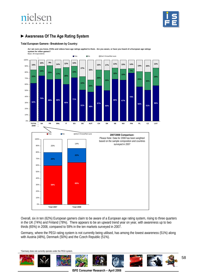



# **►Awareness Of The Age Rating System**

#### **Total European Gamers– Breakdown by Country:**

**As I am sure you know, DVDs and videos have age ratings applied to them. Are you aware, or have you heard of a European age ratings system for video games?** Base: All respondents



Overall, six in ten (62%) European gamers claim to be aware of a European age rating system, rising to three quarters in the UK (74%) and Finland (78%). There appears to be an upward trend year on year, with awareness up to two thirds (65%) in 2008, compared to 59% in the ten markets surveyed in 2007.

Germany, where the PEGI rating system is not currently being utilised, has among the lowest awareness (51%) along with Austria (48%), Denmark (50%) and the Czech Republic (51%).

\*Germany does not currently operate under the PEGI system.

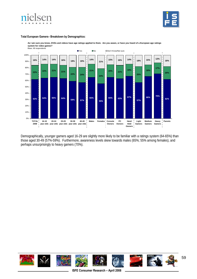



#### **Total European Gamers– Breakdown by Demographics:**



**As I am sure you know, DVDs and videos have age ratings applied to them. Are you aware, or have you heard of a European age ratings system for video games?**

Demographically, younger gamers aged 16-29 are slightly more likely to be familiar with a ratings system (64-65%) than those aged 30-49 (57%-59%). Furthermore, awareness levels skew towards males (65%; 55% among females), and perhaps unsurprisingly to heavy gamers (70%).

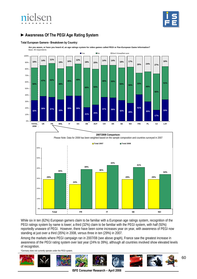



# **►Awareness Of The PEGI Age Rating System**

#### **Total European Gamers– Breakdown by Country:**

**Are you aware, or have you heard of, an age ratings system for video games called PEGI or Pan-European Game Information?**





While six in ten (62%) European gamers claim to be familiar with a European age ratings system, recognition of the PEGI ratings system by name is lower; a third (32%) claim to be familiar with the PEGI system, with half (50%) reportedly unaware of PEGI. However, there have been some increases year on year, with awareness of PEGI now standing at just over a third (35%) in 2008, versus three in ten (29%) in 2007.

Among the markets where PEGI campaign ran in 2007/08 (see above graph), France saw the greatest increase in awareness of the PEGI rating system over last year (24% to 39%), although all countries involved show elevated levels of recognition.

\*Germany does not currently operate under the PEGI system.

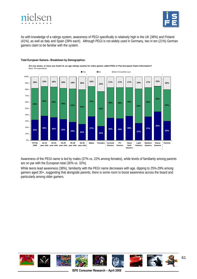



As with knowledge of a ratings system, awareness of PEGI specifically is relatively high in the UK (38%) and Finland (41%), as well as Italy and Spain (39% each). Although PEGI is not widely used in Germany, two in ten (21%) German gamers claim to be familiar with the system.





Awareness of the PEGI name is led by males (37% vs. 22% among females), while levels of familiarity among parents are on par with the European total (30% vs. 32%).

While teens lead awareness (38%), familiarity with the PEGI name decreases with age, dipping to 25%-29% among gamers aged 30+, suggesting that alongside parents, there is some room to boost awareness across the board and particularly among older gamers.

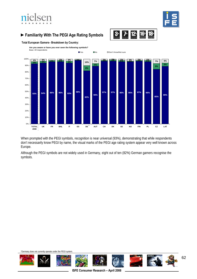# nielsen



# **►Familiarity With The PEGI Age Rating Symbols**



**Total European Gamers– Breakdown by Country:** 

**Are you aware or have you ever seen the following symbols?**



When prompted with the PEGI symbols, recognition is near universal (93%), demonstrating that while respondents don't necessarily know PEGI by name, the visual marks of the PEGI age rating system appear very well known across Europe.

Although the PEGI symbols are not widely used in Germany, eight out of ten (82%) German gamers recognise the symbols.

\*Germany does not currently operate under the PEGI system.

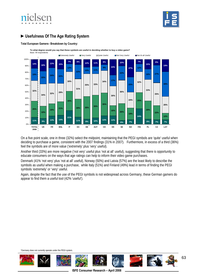



# **►Usefulness Of The Age Rating System**

#### **Total European Gamers– Breakdown by Country:**



**To what degree would you say that these symbols are useful in deciding whether to buy a video game?**

On a five point scale, one in three (32%) select the midpoint, maintaining that the PEGI symbols are 'quite' useful when deciding to purchase a game, consistent with the 2007 findings (31% in 2007). Furthermore, in excess of a third (36%) feel the symbols are of more value ('extremely' plus 'very' useful).

Another third (33%) are more negative ('not very' useful plus 'not at all' useful), suggesting that there is opportunity to educate consumers on the ways that age ratings can help to inform their video game purchases.

Denmark (41% 'not very' plus 'not at all' useful), Norway (50%) and Latvia (57%) are the least likely to describe the symbols as useful when making a purchase, while Italy (51%) and Finland (49%) lead in terms of finding the PEGI symbols 'extremely' or 'very' useful.

Again, despite the fact that the use of the PEGI symbols is not widespread across Germany, these German gamers do appear to find them a useful tool (42% 'useful').

\*Germany does not currently operate under the PEGI system.

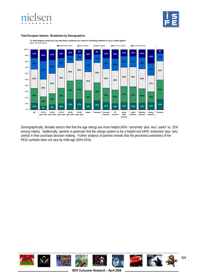



### **Total European Gamers– Breakdown by Demographics:**



**To what degree would you say that these symbols are useful in deciding whether to buy a video game?**

Demographically, females tend to feel that the age ratings are more helpful (45% 'extremely' plus 'very' useful' vs. 32% among males). Additionally, parents in particular find the ratings system to be a helpful tool (49% 'extremely' plus 'very' useful) in their purchase decision making. Further analysis of parents reveals that the perceived usefulness of the PEGI symbols does not vary by child age (50%-52%).

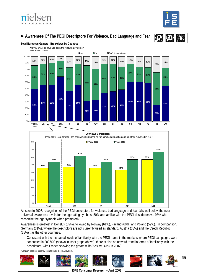



# **►Awareness Of The PEGI Descriptors For Violence, Bad Language and Fear**





**Total European Gamers– Breakdown by Country:** 

**54% 28% 18% UK FR BNL IT ES DE AUT CH DK SE NO FIN PL CZ LAT 2007/2008 Comparison:** Please Note: Data for 2008 has been weighted based on the sample composition and countries surveyed in 2007 80% 60% 70% **67% 57% 54% 62% 54% 57% Total 2007 Total 2008**

As seen in 2007, recognition of the PEGI descriptors for violence, bad language and fear falls well below the near **NO** 30% 40% 20%  $0<sup>0</sup>$ 10% **Total FR IT SE**

**43%**

**47% 46%**

universal awareness levels for the age rating symbols (50% are familiar with the PEGI descriptors vs. 93% who recognise the age symbols when prompted).

Awareness is greatest in Benelux (69%), followed by Norway (61%), Finland (60%) and Poland (59%). In comparison, Germany (31%), where the descriptors are not currently used as standard, Austria (33%) and the Czech Republic (25%) trail the other countries.

Consistent with the increased levels of familiarity with the PEGI name in the markets where PEGI campaigns were conducted in 2007/08 (shown in inset graph above), there is also an upward trend in terms of familiarity with the descriptors, with France showing the greatest lift (62% vs. 47% in 2007).

\*Germany does not currently operate under the PEGI system.

50%

**46%**

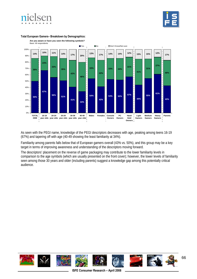





#### **Total European Gamers– Breakdown by Demographics:**

As seen with the PEGI name, knowledge of the PEGI descriptors decreases with age, peaking among teens 16-19 (67%) and tapering off with age (40-49 showing the least familiarity at 34%).

Familiarity among parents falls below that of European gamers overall (43% vs. 50%), and this group may be a key target in terms of improving awareness and understanding of the descriptors moving forward.

The descriptors' placement on the reverse of game packaging may contribute to the lower familiarity levels in comparison to the age symbols (which are usually presented on the front cover); however, the lower levels of familiarity seen among those 30 years and older (including parents) suggest a knowledge gap among this potentially critical audience.

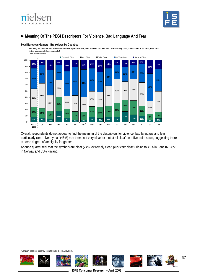



## **►Meaning Of The PEGI Descriptors For Violence, Bad Language And Fear**

#### **Total European Gamers– Breakdown by Country:**

**Thinking about whether it is clear what these symbols mean, on a scale of 1 to 5 where 1 is extremely clear, and 5 is not at all clear, how clear is the meaning of these symbols?**



Overall, respondents do not appear to find the meaning of the descriptors for violence, bad language and fear particularly clear. Nearly half (46%) rate them 'not very clear' or 'not at all clear' on a five point scale, suggesting there is some degree of ambiguity for gamers.

About a quarter feel that the symbols are clear (24% 'extremely clear' plus 'very clear'), rising to 41% in Benelux, 35% in Norway and 35% Finland.

\*Germany does not currently operate under the PEGI system.

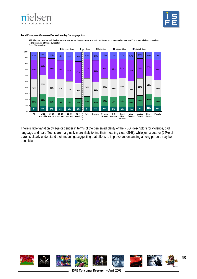



#### **Total European Gamers– Breakdown by Demographics:**

**Thinking about whether it is clear what these symbols mean, on a scale of 1 to 5 where 1 is extremely clear, and 5 is not at all clear, how clear is the meaning of these symbols?** Base: All respondents



There is little variation by age or gender in terms of the perceived clarity of the PEGI descriptors for violence, bad language and fear. Teens are marginally more likely to find their meaning clear (29%), while just a quarter (24%) of parents clearly understand their meaning, suggesting that efforts to improve understanding among parents may be beneficial.

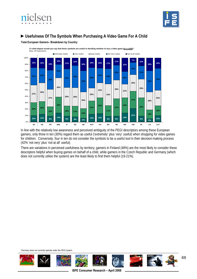



## **►Usefulness Of The Symbols When Purchasing A Video Game For A Child**

**Total European Gamers– Breakdown by Country:**



In line with the relatively low awareness and perceived ambiguity of the PEGI descriptors among these European gamers, only three in ten (30%) regard them as useful ('extremely' plus 'very' useful) when shopping for video games for children. Conversely, four in ten do not consider the symbols to be a useful tool in their decision-making process (42% 'not very' plus 'not at all' useful).

There are variations in perceived usefulness by territory; gamers in Finland (48%) are the most likely to consider these descriptors helpful when buying games on behalf of a child, while gamers in the Czech Republic and Germany (which does not currently utilise the system) are the least likely to find them helpful (19-21%).

\*Germany does not currently operate under the PEGI system.

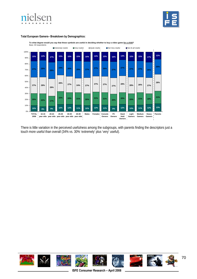



## **Total European Gamers– Breakdown by Demographics:**



**To what degree would you say that these symbols are useful in deciding whether to buy a video game for a child?**

There is little variation in the perceived usefulness among the subgroups, with parents finding the descriptors just a touch more useful than overall (34% vs. 30% 'extremely' plus 'very' useful).

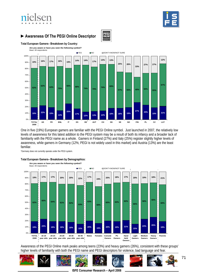# nielsen







### **Total European Gamers– Breakdown by Country:**

**THES NO** DON'T KNOW/NOT SURE **Are you aware or have you seen the following symbol?** Base: All respondents



One in five (19%) European gamers are familiar with the PEGI Online symbol. Just launched in 2007, the relatively low levels of awareness for this latest addition to the PEGI system may be a result of both its infancy and a broader lack of familiarity with the PEGI name as a whole. Gamers in Finland (27%) and Italy (25%) register slightly higher levels of awareness, while gamers in Germany (12%; PEGI is not widely used in this market) and Austria (13%) are the least familiar.

\*Germany does not currently operate under the PEGI system.

#### **Total European Gamers– Breakdown by Demographics:**



Awareness of the PEGI Online mark peaks among teens (23%) and heavy gamers (26%), consistent with these groups' higher levels of familiarity with both the PEGI name and PEGI descriptors for violence, bad language and fear.

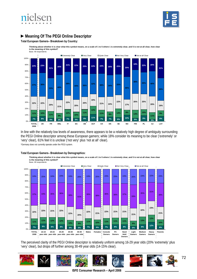



## **►Meaning Of The PEGI Online Descriptor**

#### **Total European Gamers– Breakdown by Country:**

**Thinking about whether it is clear what this symbol means, on a scale of 1 to 5 where 1 is extremely clear, and 5 is not at all clear, how clear is the meaning of this symbol?**



In line with the relatively low levels of awareness, there appears to be a relatively high degree of ambiguity surrounding the PEGI Online descriptor among these European gamers; while 18% consider its meaning to be clear ('extremely' or 'very' clear), 61% feel it is unclear ('not very' plus 'not at all' clear). \*Germany does not currently operate under the PEGI system.



**Total European Gamers– Breakdown by Demographics:** 



**Thinking about whether it is clear what this symbol means, on a scale of 1 to 5 where 1 is extremely clear, and 5 is not at all clear, how clear** 

The perceived clarity of the PEGI Online descriptor is relatively uniform among 16-29 year olds (20% 'extremely' plus 'very' clear), but drops off further among 30-49 year olds (14-15% clear).

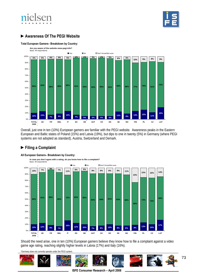



## **►Awareness Of The PEGI Website**

### **Total European Gamers– Breakdown by Country:**



Overall, just one in ten (10%) European gamers are familiar with the PEGI website. Awareness peaks in the Eastern European and Baltic states of Poland (15%) and Latvia (19%), but dips to one in twenty (5%) in Germany (where PEGI systems are not adopted as standard), Austria, Switzerland and Demark.

### **►Filing a Complaint**

### **All European Gamers– Breakdown by Country:**



Should the need arise, one in ten (10%) European gamers believe they know how to file a complaint against a video game age rating, reaching slightly higher levels in Latvia (17%) and Italy (16%).

\*Germany does not currently operate under the PEGI system.

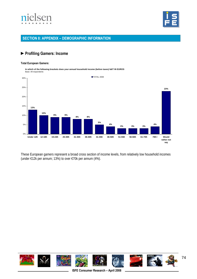



## **SECTION 8: APPENDIX – DEMOGRAPHIC INFORMATION**

### **►Profiling Gamers: Income**

#### **Total European Gamers:**

**In which of the following brackets does your annual household income (before taxes) fall? IN EUROS** Base: All respondents



These European gamers represent a broad cross section of income levels, from relatively low household incomes (under €12k per annum; 13%) to over €70k per annum (4%).

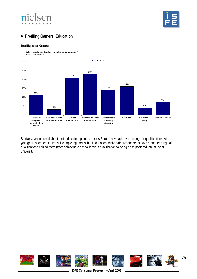



# **►Profiling Gamers: Education**

#### **Total European Gamers:**



Similarly, when asked about their education, gamers across Europe have achieved a range of qualifications, with younger respondents often still completing their school education, while older respondents have a greater range of qualifications behind them (from achieving a school leavers qualification to going on to postgraduate study at university).